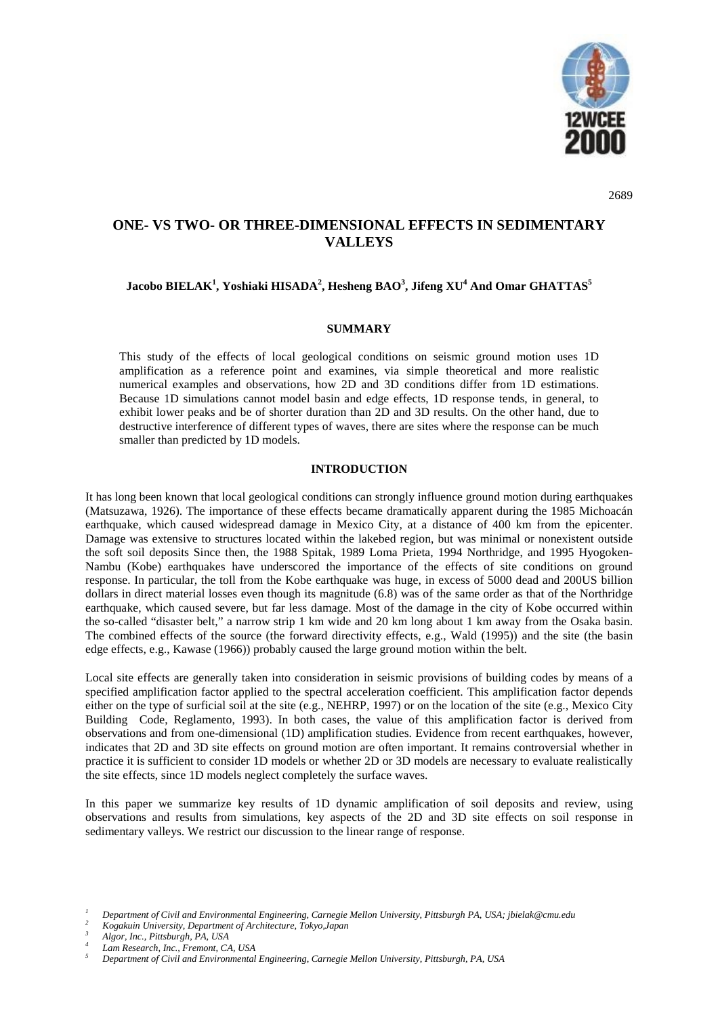

2689

# **ONE- VS TWO- OR THREE-DIMENSIONAL EFFECTS IN SEDIMENTARY VALLEYS**

# **Jacobo BIELAK<sup>1</sup> , Yoshiaki HISADA<sup>2</sup> , Hesheng BAO<sup>3</sup> , Jifeng XU<sup>4</sup> And Omar GHATTAS5**

## **SUMMARY**

This study of the effects of local geological conditions on seismic ground motion uses 1D amplification as a reference point and examines, via simple theoretical and more realistic numerical examples and observations, how 2D and 3D conditions differ from 1D estimations. Because 1D simulations cannot model basin and edge effects, 1D response tends, in general, to exhibit lower peaks and be of shorter duration than 2D and 3D results. On the other hand, due to destructive interference of different types of waves, there are sites where the response can be much smaller than predicted by 1D models.

### **INTRODUCTION**

It has long been known that local geological conditions can strongly influence ground motion during earthquakes (Matsuzawa, 1926). The importance of these effects became dramatically apparent during the 1985 Michoacán earthquake, which caused widespread damage in Mexico City, at a distance of 400 km from the epicenter. Damage was extensive to structures located within the lakebed region, but was minimal or nonexistent outside the soft soil deposits Since then, the 1988 Spitak, 1989 Loma Prieta, 1994 Northridge, and 1995 Hyogoken-Nambu (Kobe) earthquakes have underscored the importance of the effects of site conditions on ground response. In particular, the toll from the Kobe earthquake was huge, in excess of 5000 dead and 200US billion dollars in direct material losses even though its magnitude (6.8) was of the same order as that of the Northridge earthquake, which caused severe, but far less damage. Most of the damage in the city of Kobe occurred within the so-called "disaster belt," a narrow strip 1 km wide and 20 km long about 1 km away from the Osaka basin. The combined effects of the source (the forward directivity effects, e.g., Wald (1995)) and the site (the basin edge effects, e.g., Kawase (1966)) probably caused the large ground motion within the belt.

Local site effects are generally taken into consideration in seismic provisions of building codes by means of a specified amplification factor applied to the spectral acceleration coefficient. This amplification factor depends either on the type of surficial soil at the site (e.g., NEHRP, 1997) or on the location of the site (e.g., Mexico City Building Code, Reglamento, 1993). In both cases, the value of this amplification factor is derived from observations and from one-dimensional (1D) amplification studies. Evidence from recent earthquakes, however, indicates that 2D and 3D site effects on ground motion are often important. It remains controversial whether in practice it is sufficient to consider 1D models or whether 2D or 3D models are necessary to evaluate realistically the site effects, since 1D models neglect completely the surface waves.

In this paper we summarize key results of 1D dynamic amplification of soil deposits and review, using observations and results from simulations, key aspects of the 2D and 3D site effects on soil response in sedimentary valleys. We restrict our discussion to the linear range of response.

Department of Civil and Environmental Engineering, Carnegie Mellon University, Pittsburgh PA, USA; jbielak@cmu.edu<br>Kogakuin University, Department of Architecture, Tokyo,Japan<br>Algor, Inc., Pittsburgh, PA, USA<br>Lam Research,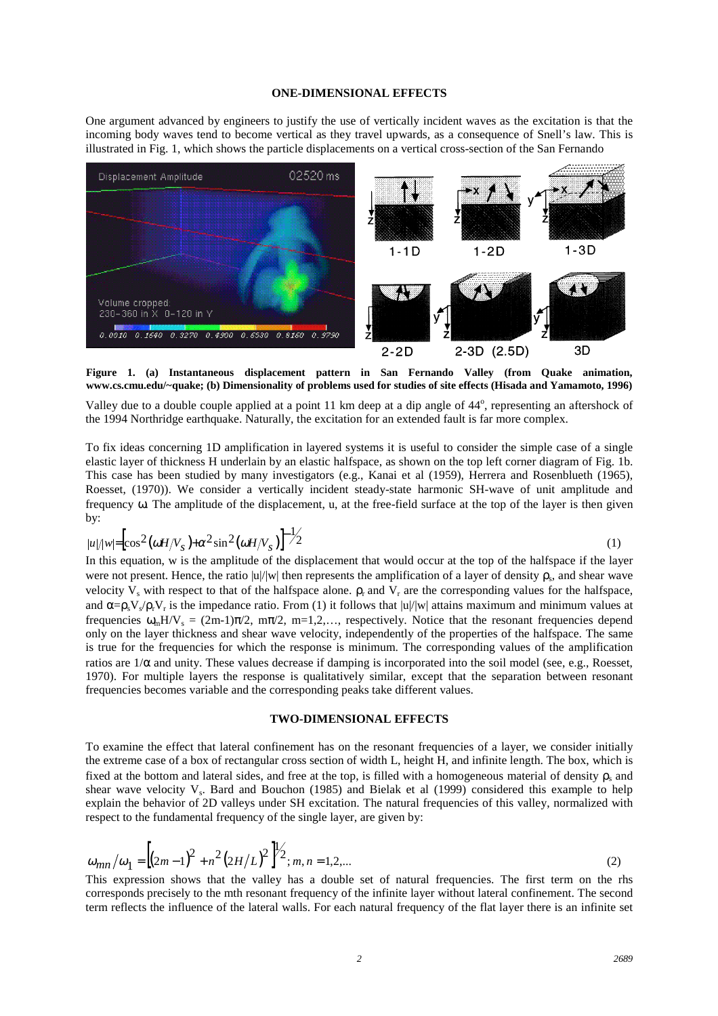### **ONE-DIMENSIONAL EFFECTS**

One argument advanced by engineers to justify the use of vertically incident waves as the excitation is that the incoming body waves tend to become vertical as they travel upwards, as a consequence of Snell's law. This is illustrated in Fig. 1, which shows the particle displacements on a vertical cross-section of the San Fernando



**Figure 1. (a) Instantaneous displacement pattern in San Fernando Valley (from Quake animation, www.cs.cmu.edu/~quake; (b) Dimensionality of problems used for studies of site effects (Hisada and Yamamoto, 1996)**

Valley due to a double couple applied at a point 11 km deep at a dip angle of 44°, representing an aftershock of the 1994 Northridge earthquake. Naturally, the excitation for an extended fault is far more complex.

To fix ideas concerning 1D amplification in layered systems it is useful to consider the simple case of a single elastic layer of thickness H underlain by an elastic halfspace, as shown on the top left corner diagram of Fig. 1b. This case has been studied by many investigators (e.g., Kanai et al (1959), Herrera and Rosenblueth (1965), Roesset, (1970)). We consider a vertically incident steady-state harmonic SH-wave of unit amplitude and frequency ω. The amplitude of the displacement, u, at the free-field surface at the top of the layer is then given by:

$$
|u|/|w| = \left[\cos^2\left(\omega H/V_s\right) + \alpha^2 \sin^2\left(\omega H/V_s\right)\right]^{-1/2} \tag{1}
$$

In this equation, w is the amplitude of the displacement that would occur at the top of the halfspace if the layer were not present. Hence, the ratio  $|u|/|w|$  then represents the amplification of a layer of density  $\rho_s$ , and shear wave velocity V<sub>s</sub> with respect to that of the halfspace alone.  $\rho_r$  and V<sub>r</sub> are the corresponding values for the halfspace, and  $\alpha = \rho_s V \sqrt{\rho_r} V_r$  is the impedance ratio. From (1) it follows that  $|u|/|w|$  attains maximum and minimum values at frequencies  $\omega_m H/V_s = (2m-1)\pi/2$ ,  $m\pi/2$ ,  $m=1,2,...$ , respectively. Notice that the resonant frequencies depend only on the layer thickness and shear wave velocity, independently of the properties of the halfspace. The same is true for the frequencies for which the response is minimum. The corresponding values of the amplification ratios are  $1/\alpha$  and unity. These values decrease if damping is incorporated into the soil model (see, e.g., Roesset, 1970). For multiple layers the response is qualitatively similar, except that the separation between resonant frequencies becomes variable and the corresponding peaks take different values.

## **TWO-DIMENSIONAL EFFECTS**

To examine the effect that lateral confinement has on the resonant frequencies of a layer, we consider initially the extreme case of a box of rectangular cross section of width L, height H, and infinite length. The box, which is fixed at the bottom and lateral sides, and free at the top, is filled with a homogeneous material of density  $\rho$  and shear wave velocity  $V_s$ . Bard and Bouchon (1985) and Bielak et al (1999) considered this example to help explain the behavior of 2D valleys under SH excitation. The natural frequencies of this valley, normalized with respect to the fundamental frequency of the single layer, are given by:

$$
\omega_{mn}/\omega_1 = \left[ (2m-1)^2 + n^2 (2H/L)^2 \right]^{1/2}; m, n = 1, 2, \dots
$$
\n(2)

This expression shows that the valley has a double set of natural frequencies. The first term on the rhs corresponds precisely to the mth resonant frequency of the infinite layer without lateral confinement. The second term reflects the influence of the lateral walls. For each natural frequency of the flat layer there is an infinite set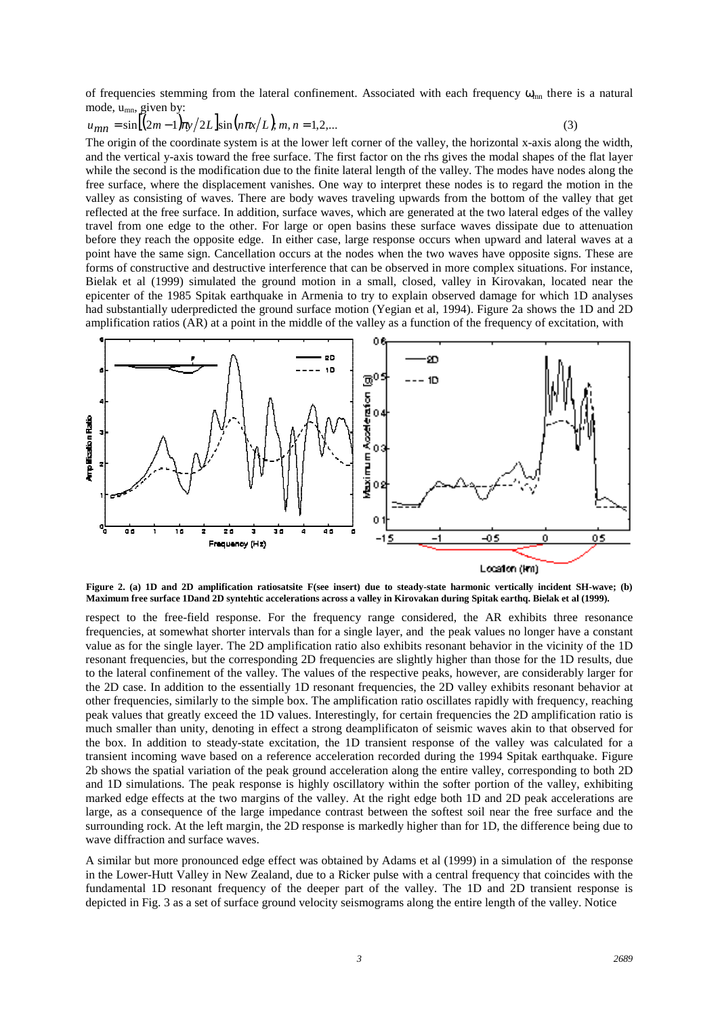of frequencies stemming from the lateral confinement. Associated with each frequency  $\omega_{mn}$  there is a natural mode,  $u_{mn}$ , given by:

$$
u_{mn} = \sin\left[\frac{2m-1}{m}\right] \pi/2L \sin\left(n\pi x/L\right), m, n = 1, 2, \dots
$$
\n(3)

The origin of the coordinate system is at the lower left corner of the valley, the horizontal x-axis along the width, and the vertical y-axis toward the free surface. The first factor on the rhs gives the modal shapes of the flat layer while the second is the modification due to the finite lateral length of the valley. The modes have nodes along the free surface, where the displacement vanishes. One way to interpret these nodes is to regard the motion in the valley as consisting of waves. There are body waves traveling upwards from the bottom of the valley that get reflected at the free surface. In addition, surface waves, which are generated at the two lateral edges of the valley travel from one edge to the other. For large or open basins these surface waves dissipate due to attenuation before they reach the opposite edge. In either case, large response occurs when upward and lateral waves at a point have the same sign. Cancellation occurs at the nodes when the two waves have opposite signs. These are forms of constructive and destructive interference that can be observed in more complex situations. For instance, Bielak et al (1999) simulated the ground motion in a small, closed, valley in Kirovakan, located near the epicenter of the 1985 Spitak earthquake in Armenia to try to explain observed damage for which 1D analyses had substantially uderpredicted the ground surface motion (Yegian et al, 1994). Figure 2a shows the 1D and 2D amplification ratios (AR) at a point in the middle of the valley as a function of the frequency of excitation, with



**Figure 2. (a) 1D and 2D amplification ratiosatsite F(see insert) due to steady-state harmonic vertically incident SH-wave; (b) Maximum free surface 1Dand 2D syntehtic accelerations across a valley in Kirovakan during Spitak earthq. Bielak et al (1999).**

respect to the free-field response. For the frequency range considered, the AR exhibits three resonance frequencies, at somewhat shorter intervals than for a single layer, and the peak values no longer have a constant value as for the single layer. The 2D amplification ratio also exhibits resonant behavior in the vicinity of the 1D resonant frequencies, but the corresponding 2D frequencies are slightly higher than those for the 1D results, due to the lateral confinement of the valley. The values of the respective peaks, however, are considerably larger for the 2D case. In addition to the essentially 1D resonant frequencies, the 2D valley exhibits resonant behavior at other frequencies, similarly to the simple box. The amplification ratio oscillates rapidly with frequency, reaching peak values that greatly exceed the 1D values. Interestingly, for certain frequencies the 2D amplification ratio is much smaller than unity, denoting in effect a strong deamplificaton of seismic waves akin to that observed for the box. In addition to steady-state excitation, the 1D transient response of the valley was calculated for a transient incoming wave based on a reference acceleration recorded during the 1994 Spitak earthquake. Figure 2b shows the spatial variation of the peak ground acceleration along the entire valley, corresponding to both 2D and 1D simulations. The peak response is highly oscillatory within the softer portion of the valley, exhibiting marked edge effects at the two margins of the valley. At the right edge both 1D and 2D peak accelerations are large, as a consequence of the large impedance contrast between the softest soil near the free surface and the surrounding rock. At the left margin, the 2D response is markedly higher than for 1D, the difference being due to wave diffraction and surface waves.

A similar but more pronounced edge effect was obtained by Adams et al (1999) in a simulation of the response in the Lower-Hutt Valley in New Zealand, due to a Ricker pulse with a central frequency that coincides with the fundamental 1D resonant frequency of the deeper part of the valley. The 1D and 2D transient response is depicted in Fig. 3 as a set of surface ground velocity seismograms along the entire length of the valley. Notice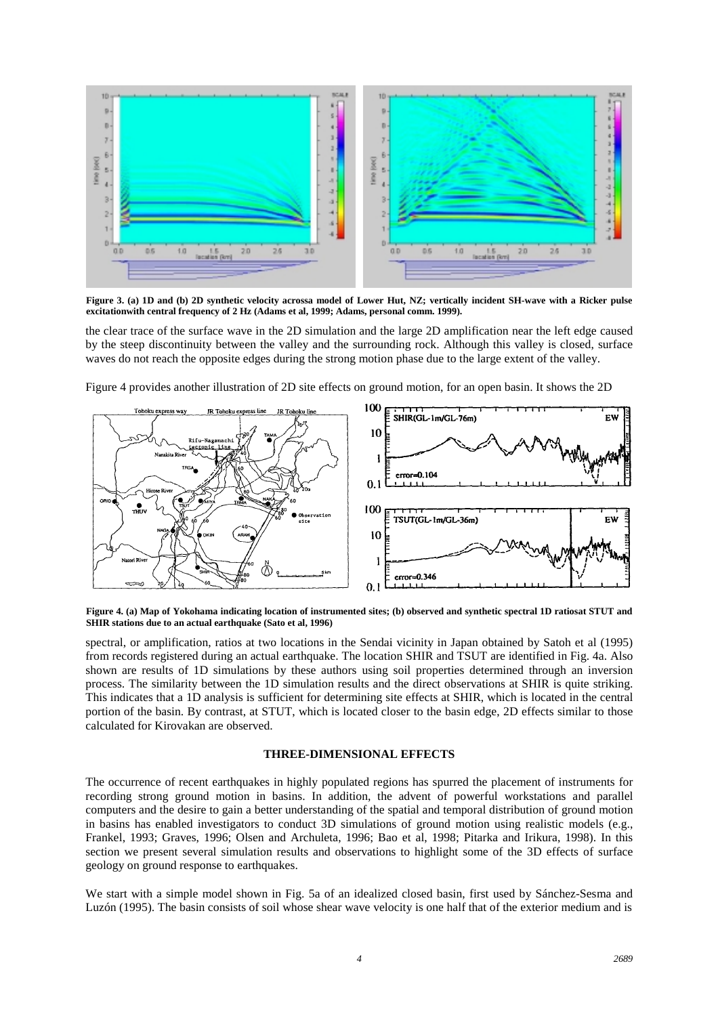

**Figure 3. (a) 1D and (b) 2D synthetic velocity acrossa model of Lower Hut, NZ; vertically incident SH-wave with a Ricker pulse excitationwith central frequency of 2 Hz (Adams et al, 1999; Adams, personal comm. 1999).**

the clear trace of the surface wave in the 2D simulation and the large 2D amplification near the left edge caused by the steep discontinuity between the valley and the surrounding rock. Although this valley is closed, surface waves do not reach the opposite edges during the strong motion phase due to the large extent of the valley.

Figure 4 provides another illustration of 2D site effects on ground motion, for an open basin. It shows the 2D



**Figure 4. (a) Map of Yokohama indicating location of instrumented sites; (b) observed and synthetic spectral 1D ratiosat STUT and SHIR stations due to an actual earthquake (Sato et al, 1996)**

spectral, or amplification, ratios at two locations in the Sendai vicinity in Japan obtained by Satoh et al (1995) from records registered during an actual earthquake. The location SHIR and TSUT are identified in Fig. 4a. Also shown are results of 1D simulations by these authors using soil properties determined through an inversion process. The similarity between the 1D simulation results and the direct observations at SHIR is quite striking. This indicates that a 1D analysis is sufficient for determining site effects at SHIR, which is located in the central portion of the basin. By contrast, at STUT, which is located closer to the basin edge, 2D effects similar to those calculated for Kirovakan are observed.

### **THREE-DIMENSIONAL EFFECTS**

The occurrence of recent earthquakes in highly populated regions has spurred the placement of instruments for recording strong ground motion in basins. In addition, the advent of powerful workstations and parallel computers and the desire to gain a better understanding of the spatial and temporal distribution of ground motion in basins has enabled investigators to conduct 3D simulations of ground motion using realistic models (e.g., Frankel, 1993; Graves, 1996; Olsen and Archuleta, 1996; Bao et al, 1998; Pitarka and Irikura, 1998). In this section we present several simulation results and observations to highlight some of the 3D effects of surface geology on ground response to earthquakes.

We start with a simple model shown in Fig. 5a of an idealized closed basin, first used by Sánchez-Sesma and Luzón (1995). The basin consists of soil whose shear wave velocity is one half that of the exterior medium and is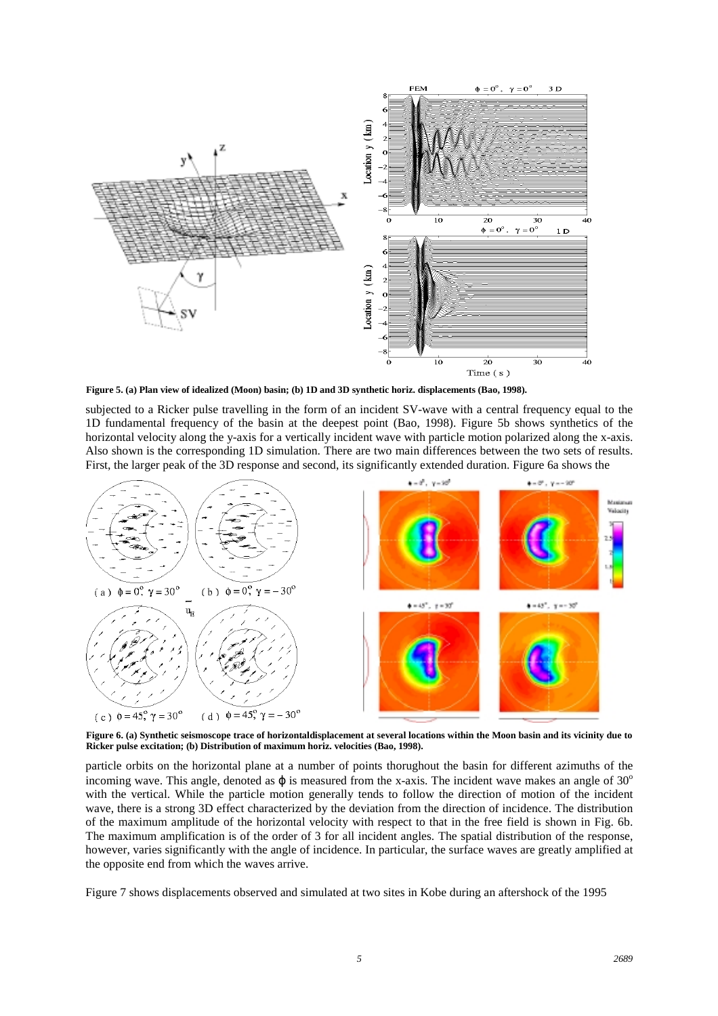

**Figure 5. (a) Plan view of idealized (Moon) basin; (b) 1D and 3D synthetic horiz. displacements (Bao, 1998).**

subjected to a Ricker pulse travelling in the form of an incident SV-wave with a central frequency equal to the 1D fundamental frequency of the basin at the deepest point (Bao, 1998). Figure 5b shows synthetics of the horizontal velocity along the y-axis for a vertically incident wave with particle motion polarized along the x-axis. Also shown is the corresponding 1D simulation. There are two main differences between the two sets of results. First, the larger peak of the 3D response and second, its significantly extended duration. Figure 6a shows the



**Figure 6. (a) Synthetic seismoscope trace of horizontaldisplacement at several locations within the Moon basin and its vicinity due to Ricker pulse excitation; (b) Distribution of maximum horiz. velocities (Bao, 1998).**

particle orbits on the horizontal plane at a number of points thorughout the basin for different azimuths of the incoming wave. This angle, denoted as  $\varphi$  is measured from the x-axis. The incident wave makes an angle of 30 $^{\circ}$ with the vertical. While the particle motion generally tends to follow the direction of motion of the incident wave, there is a strong 3D effect characterized by the deviation from the direction of incidence. The distribution of the maximum amplitude of the horizontal velocity with respect to that in the free field is shown in Fig. 6b. The maximum amplification is of the order of 3 for all incident angles. The spatial distribution of the response, however, varies significantly with the angle of incidence. In particular, the surface waves are greatly amplified at the opposite end from which the waves arrive.

Figure 7 shows displacements observed and simulated at two sites in Kobe during an aftershock of the 1995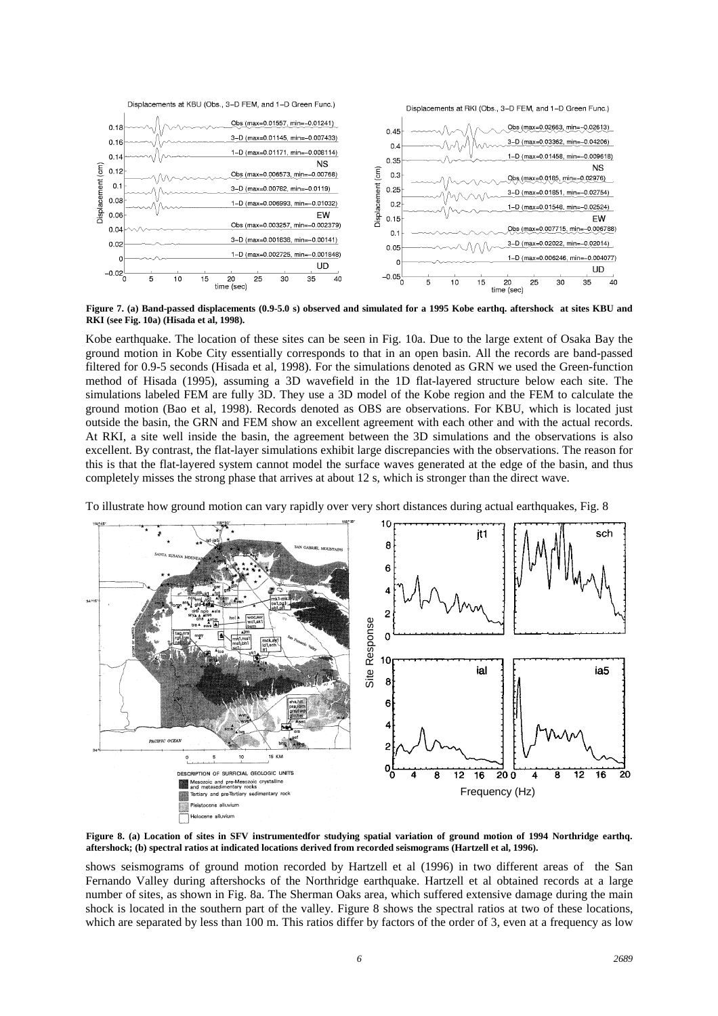

**Figure 7. (a) Band-passed displacements (0.9-5.0 s) observed and simulated for a 1995 Kobe earthq. aftershock at sites KBU and RKI (see Fig. 10a) (Hisada et al, 1998).**

Kobe earthquake. The location of these sites can be seen in Fig. 10a. Due to the large extent of Osaka Bay the ground motion in Kobe City essentially corresponds to that in an open basin. All the records are band-passed filtered for 0.9-5 seconds (Hisada et al, 1998). For the simulations denoted as GRN we used the Green-function method of Hisada (1995), assuming a 3D wavefield in the 1D flat-layered structure below each site. The simulations labeled FEM are fully 3D. They use a 3D model of the Kobe region and the FEM to calculate the ground motion (Bao et al, 1998). Records denoted as OBS are observations. For KBU, which is located just outside the basin, the GRN and FEM show an excellent agreement with each other and with the actual records. At RKI, a site well inside the basin, the agreement between the 3D simulations and the observations is also excellent. By contrast, the flat-layer simulations exhibit large discrepancies with the observations. The reason for this is that the flat-layered system cannot model the surface waves generated at the edge of the basin, and thus completely misses the strong phase that arrives at about 12 s, which is stronger than the direct wave.



To illustrate how ground motion can vary rapidly over very short distances during actual earthquakes, Fig. 8

**Figure 8. (a) Location of sites in SFV instrumentedfor studying spatial variation of ground motion of 1994 Northridge earthq. aftershock; (b) spectral ratios at indicated locations derived from recorded seismograms (Hartzell et al, 1996).**

shows seismograms of ground motion recorded by Hartzell et al (1996) in two different areas of the San Fernando Valley during aftershocks of the Northridge earthquake. Hartzell et al obtained records at a large number of sites, as shown in Fig. 8a. The Sherman Oaks area, which suffered extensive damage during the main shock is located in the southern part of the valley. Figure 8 shows the spectral ratios at two of these locations, which are separated by less than 100 m. This ratios differ by factors of the order of 3, even at a frequency as low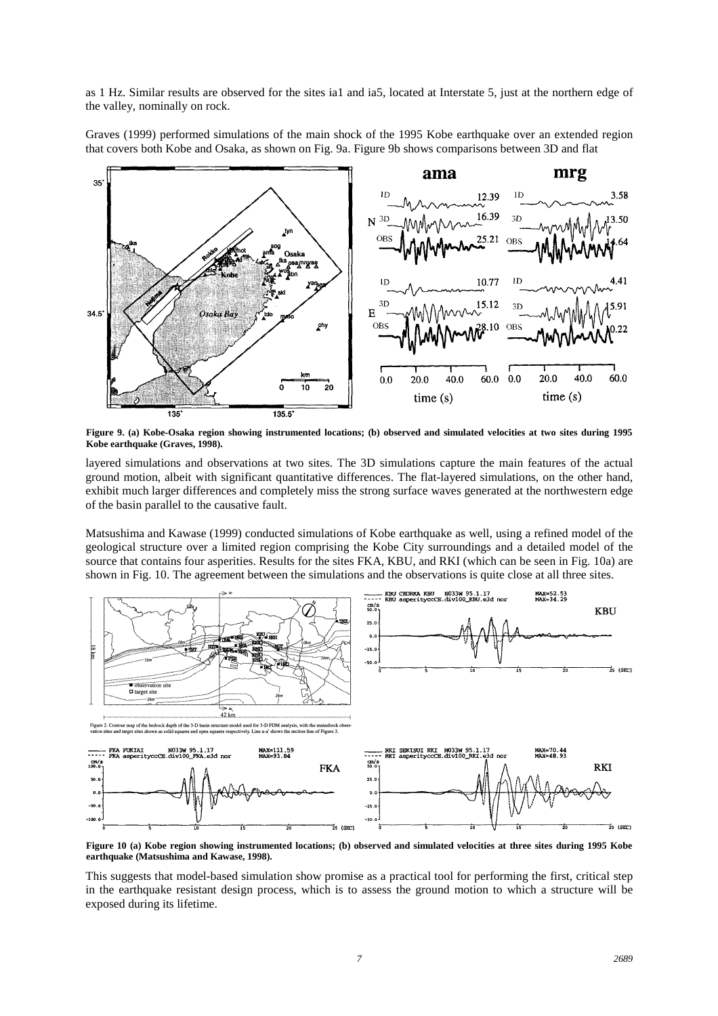as 1 Hz. Similar results are observed for the sites ia1 and ia5, located at Interstate 5, just at the northern edge of the valley, nominally on rock.

Graves (1999) performed simulations of the main shock of the 1995 Kobe earthquake over an extended region that covers both Kobe and Osaka, as shown on Fig. 9a. Figure 9b shows comparisons between 3D and flat



**Figure 9. (a) Kobe-Osaka region showing instrumented locations; (b) observed and simulated velocities at two sites during 1995 Kobe earthquake (Graves, 1998).**

layered simulations and observations at two sites. The 3D simulations capture the main features of the actual ground motion, albeit with significant quantitative differences. The flat-layered simulations, on the other hand, exhibit much larger differences and completely miss the strong surface waves generated at the northwestern edge of the basin parallel to the causative fault.

Matsushima and Kawase (1999) conducted simulations of Kobe earthquake as well, using a refined model of the geological structure over a limited region comprising the Kobe City surroundings and a detailed model of the source that contains four asperities. Results for the sites FKA, KBU, and RKI (which can be seen in Fig. 10a) are shown in Fig. 10. The agreement between the simulations and the observations is quite close at all three sites.



**Figure 10 (a) Kobe region showing instrumented locations; (b) observed and simulated velocities at three sites during 1995 Kobe earthquake (Matsushima and Kawase, 1998).**

This suggests that model-based simulation show promise as a practical tool for performing the first, critical step in the earthquake resistant design process, which is to assess the ground motion to which a structure will be exposed during its lifetime.